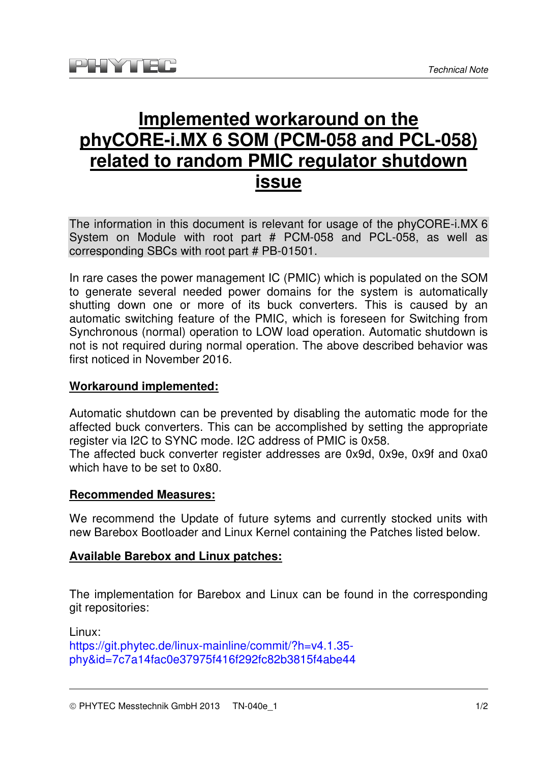# **Implemented workaround on the phyCORE-i.MX 6 SOM (PCM-058 and PCL-058) related to random PMIC regulator shutdown issue**

The information in this document is relevant for usage of the phyCORE-i.MX 6 System on Module with root part # PCM-058 and PCL-058, as well as corresponding SBCs with root part # PB-01501.

In rare cases the power management IC (PMIC) which is populated on the SOM to generate several needed power domains for the system is automatically shutting down one or more of its buck converters. This is caused by an automatic switching feature of the PMIC, which is foreseen for Switching from Synchronous (normal) operation to LOW load operation. Automatic shutdown is not is not required during normal operation. The above described behavior was first noticed in November 2016.

### **Workaround implemented:**

Automatic shutdown can be prevented by disabling the automatic mode for the affected buck converters. This can be accomplished by setting the appropriate register via I2C to SYNC mode. I2C address of PMIC is 0x58.

The affected buck converter register addresses are 0x9d, 0x9e, 0x9f and 0xa0 which have to be set to 0x80.

#### **Recommended Measures:**

We recommend the Update of future sytems and currently stocked units with new Barebox Bootloader and Linux Kernel containing the Patches listed below.

#### **Available Barebox and Linux patches:**

The implementation for Barebox and Linux can be found in the corresponding git repositories:

Linux: https://git.phytec.de/linux-mainline/commit/?h=v4.1.35phy&id=7c7a14fac0e37975f416f292fc82b3815f4abe44